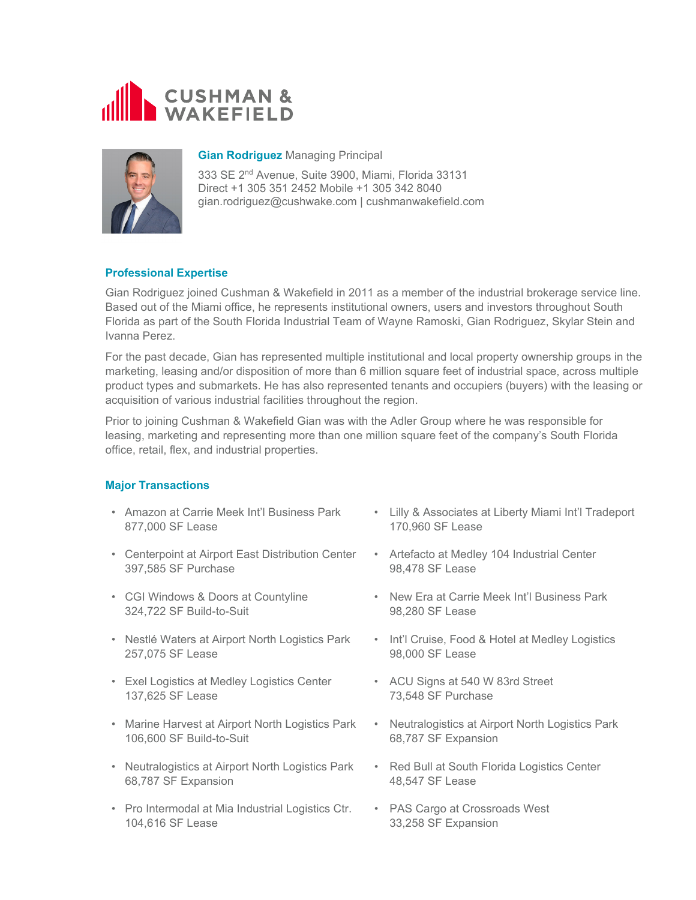



## **Gian Rodriguez** Managing Principal

333 SE 2nd Avenue, Suite 3900, Miami, Florida 33131 Direct +1 305 351 2452 Mobile +1 305 342 8040 gian.rodriguez@cushwake.com | cushmanwakefield.com

# **Professional Expertise**

Gian Rodriguez joined Cushman & Wakefield in 2011 as a member of the industrial brokerage service line. Based out of the Miami office, he represents institutional owners, users and investors throughout South Florida as part of the South Florida Industrial Team of Wayne Ramoski, Gian Rodriguez, Skylar Stein and Ivanna Perez.

For the past decade, Gian has represented multiple institutional and local property ownership groups in the marketing, leasing and/or disposition of more than 6 million square feet of industrial space, across multiple product types and submarkets. He has also represented tenants and occupiers (buyers) with the leasing or acquisition of various industrial facilities throughout the region.

Prior to joining Cushman & Wakefield Gian was with the Adler Group where he was responsible for leasing, marketing and representing more than one million square feet of the company's South Florida office, retail, flex, and industrial properties.

# **Major Transactions**

- Amazon at Carrie Meek Int'l Business Park 877,000 SF Lease
- Centerpoint at Airport East Distribution Center 397,585 SF Purchase
- CGI Windows & Doors at Countyline 324,722 SF Build-to-Suit
- Nestlé Waters at Airport North Logistics Park 257,075 SF Lease
- Exel Logistics at Medley Logistics Center 137,625 SF Lease
- Marine Harvest at Airport North Logistics Park 106,600 SF Build-to-Suit
- Neutralogistics at Airport North Logistics Park 68,787 SF Expansion
- Pro Intermodal at Mia Industrial Logistics Ctr. 104,616 SF Lease
- Lilly & Associates at Liberty Miami Int'l Tradeport 170,960 SF Lease
- Artefacto at Medley 104 Industrial Center 98,478 SF Lease
- New Era at Carrie Meek Int'l Business Park 98,280 SF Lease
- Int'l Cruise, Food & Hotel at Medley Logistics 98,000 SF Lease
- ACU Signs at 540 W 83rd Street 73,548 SF Purchase
- Neutralogistics at Airport North Logistics Park 68,787 SF Expansion
- Red Bull at South Florida Logistics Center 48,547 SF Lease
- PAS Cargo at Crossroads West 33,258 SF Expansion